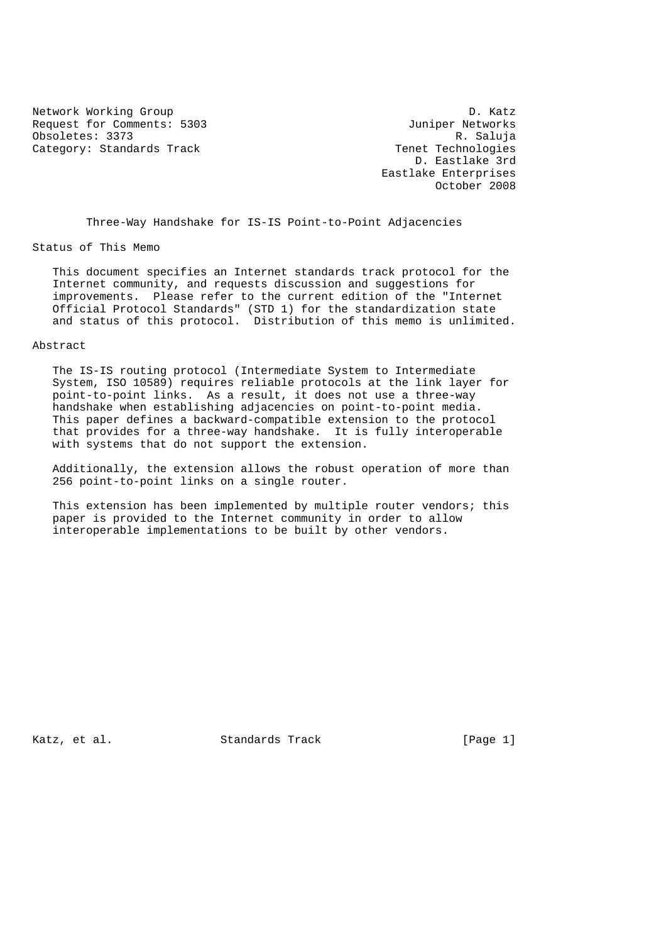Network Working Group D. Katz<br>Request for Comments: 5303 D. Month Juniper Networks Request for Comments: 5303 Juniper Networks<br>
Obsoletes: 3373 R. Saluja Obsoletes: 3373 Category: Standards Track Tenet Technologies

 D. Eastlake 3rd Eastlake Enterprises October 2008

Three-Way Handshake for IS-IS Point-to-Point Adjacencies

Status of This Memo

 This document specifies an Internet standards track protocol for the Internet community, and requests discussion and suggestions for improvements. Please refer to the current edition of the "Internet Official Protocol Standards" (STD 1) for the standardization state and status of this protocol. Distribution of this memo is unlimited.

## Abstract

 The IS-IS routing protocol (Intermediate System to Intermediate System, ISO 10589) requires reliable protocols at the link layer for point-to-point links. As a result, it does not use a three-way handshake when establishing adjacencies on point-to-point media. This paper defines a backward-compatible extension to the protocol that provides for a three-way handshake. It is fully interoperable with systems that do not support the extension.

 Additionally, the extension allows the robust operation of more than 256 point-to-point links on a single router.

 This extension has been implemented by multiple router vendors; this paper is provided to the Internet community in order to allow interoperable implementations to be built by other vendors.

Katz, et al. Standards Track [Page 1]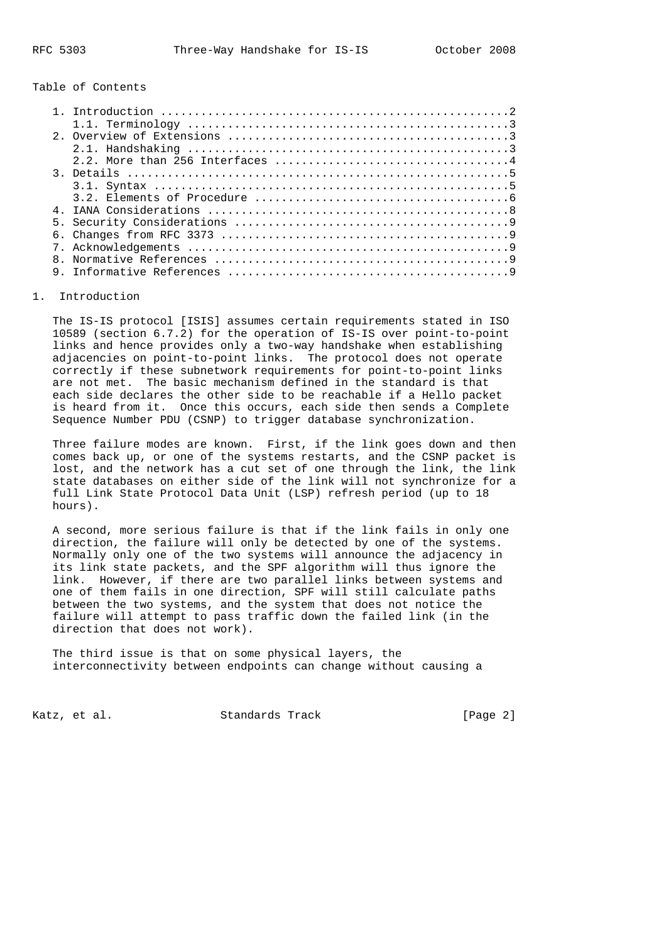Table of Contents

| 3. Details $\ldots \ldots \ldots \ldots \ldots \ldots \ldots \ldots \ldots \ldots \ldots \ldots \ldots$ |
|---------------------------------------------------------------------------------------------------------|
|                                                                                                         |
|                                                                                                         |
|                                                                                                         |
|                                                                                                         |
|                                                                                                         |
|                                                                                                         |
|                                                                                                         |
|                                                                                                         |

## 1. Introduction

 The IS-IS protocol [ISIS] assumes certain requirements stated in ISO 10589 (section 6.7.2) for the operation of IS-IS over point-to-point links and hence provides only a two-way handshake when establishing adjacencies on point-to-point links. The protocol does not operate correctly if these subnetwork requirements for point-to-point links are not met. The basic mechanism defined in the standard is that each side declares the other side to be reachable if a Hello packet is heard from it. Once this occurs, each side then sends a Complete Sequence Number PDU (CSNP) to trigger database synchronization.

 Three failure modes are known. First, if the link goes down and then comes back up, or one of the systems restarts, and the CSNP packet is lost, and the network has a cut set of one through the link, the link state databases on either side of the link will not synchronize for a full Link State Protocol Data Unit (LSP) refresh period (up to 18 hours).

 A second, more serious failure is that if the link fails in only one direction, the failure will only be detected by one of the systems. Normally only one of the two systems will announce the adjacency in its link state packets, and the SPF algorithm will thus ignore the link. However, if there are two parallel links between systems and one of them fails in one direction, SPF will still calculate paths between the two systems, and the system that does not notice the failure will attempt to pass traffic down the failed link (in the direction that does not work).

 The third issue is that on some physical layers, the interconnectivity between endpoints can change without causing a

Katz, et al. Standards Track [Page 2]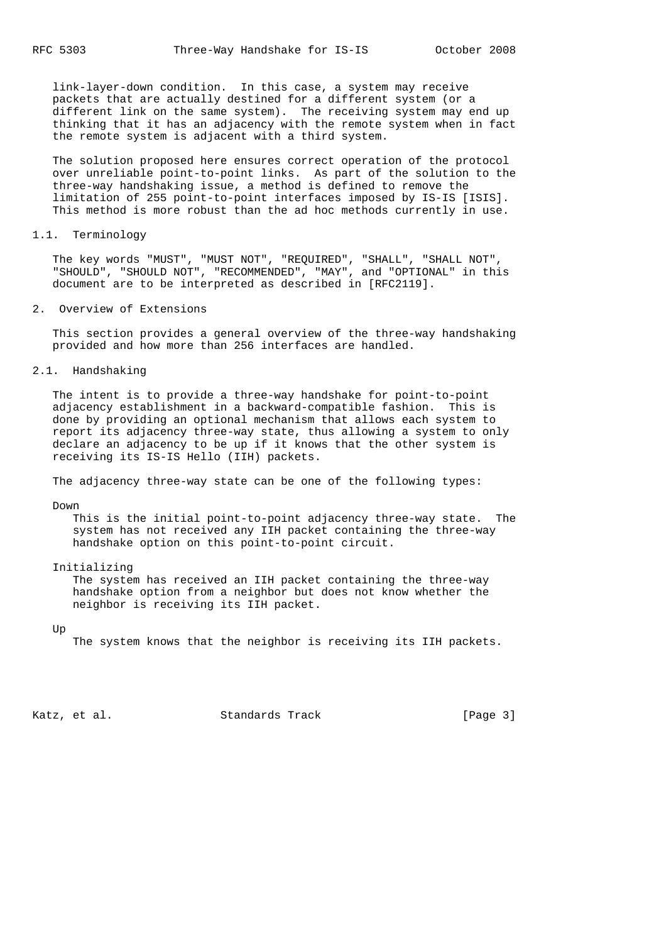link-layer-down condition. In this case, a system may receive packets that are actually destined for a different system (or a different link on the same system). The receiving system may end up thinking that it has an adjacency with the remote system when in fact the remote system is adjacent with a third system.

 The solution proposed here ensures correct operation of the protocol over unreliable point-to-point links. As part of the solution to the three-way handshaking issue, a method is defined to remove the limitation of 255 point-to-point interfaces imposed by IS-IS [ISIS]. This method is more robust than the ad hoc methods currently in use.

#### 1.1. Terminology

 The key words "MUST", "MUST NOT", "REQUIRED", "SHALL", "SHALL NOT", "SHOULD", "SHOULD NOT", "RECOMMENDED", "MAY", and "OPTIONAL" in this document are to be interpreted as described in [RFC2119].

## 2. Overview of Extensions

 This section provides a general overview of the three-way handshaking provided and how more than 256 interfaces are handled.

# 2.1. Handshaking

 The intent is to provide a three-way handshake for point-to-point adjacency establishment in a backward-compatible fashion. This is done by providing an optional mechanism that allows each system to report its adjacency three-way state, thus allowing a system to only declare an adjacency to be up if it knows that the other system is receiving its IS-IS Hello (IIH) packets.

The adjacency three-way state can be one of the following types:

Down

 This is the initial point-to-point adjacency three-way state. The system has not received any IIH packet containing the three-way handshake option on this point-to-point circuit.

Initializing

 The system has received an IIH packet containing the three-way handshake option from a neighbor but does not know whether the neighbor is receiving its IIH packet.

Up

The system knows that the neighbor is receiving its IIH packets.

Katz, et al. Standards Track [Page 3]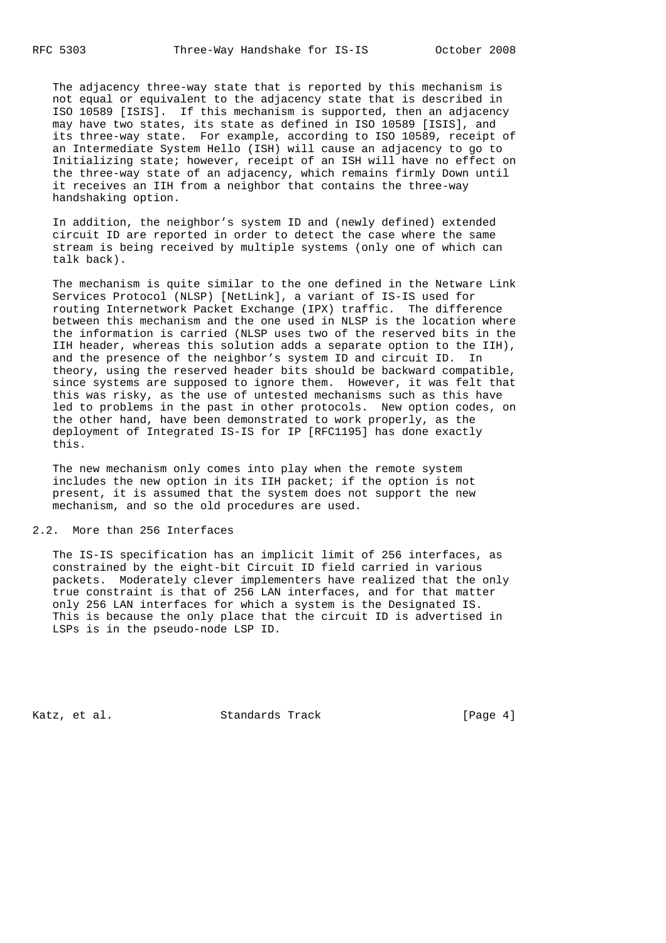The adjacency three-way state that is reported by this mechanism is not equal or equivalent to the adjacency state that is described in ISO 10589 [ISIS]. If this mechanism is supported, then an adjacency may have two states, its state as defined in ISO 10589 [ISIS], and its three-way state. For example, according to ISO 10589, receipt of an Intermediate System Hello (ISH) will cause an adjacency to go to Initializing state; however, receipt of an ISH will have no effect on the three-way state of an adjacency, which remains firmly Down until it receives an IIH from a neighbor that contains the three-way handshaking option.

 In addition, the neighbor's system ID and (newly defined) extended circuit ID are reported in order to detect the case where the same stream is being received by multiple systems (only one of which can talk back).

 The mechanism is quite similar to the one defined in the Netware Link Services Protocol (NLSP) [NetLink], a variant of IS-IS used for routing Internetwork Packet Exchange (IPX) traffic. The difference between this mechanism and the one used in NLSP is the location where the information is carried (NLSP uses two of the reserved bits in the IIH header, whereas this solution adds a separate option to the IIH), and the presence of the neighbor's system ID and circuit ID. In theory, using the reserved header bits should be backward compatible, since systems are supposed to ignore them. However, it was felt that this was risky, as the use of untested mechanisms such as this have led to problems in the past in other protocols. New option codes, on the other hand, have been demonstrated to work properly, as the deployment of Integrated IS-IS for IP [RFC1195] has done exactly this.

 The new mechanism only comes into play when the remote system includes the new option in its IIH packet; if the option is not present, it is assumed that the system does not support the new mechanism, and so the old procedures are used.

#### 2.2. More than 256 Interfaces

 The IS-IS specification has an implicit limit of 256 interfaces, as constrained by the eight-bit Circuit ID field carried in various packets. Moderately clever implementers have realized that the only true constraint is that of 256 LAN interfaces, and for that matter only 256 LAN interfaces for which a system is the Designated IS. This is because the only place that the circuit ID is advertised in LSPs is in the pseudo-node LSP ID.

Katz, et al. Standards Track [Page 4]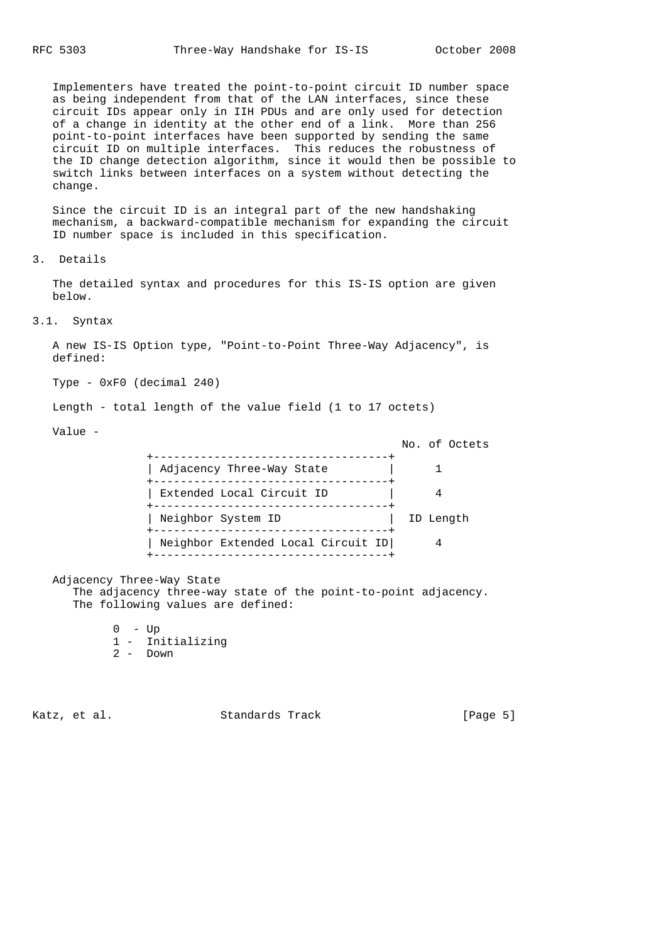Implementers have treated the point-to-point circuit ID number space as being independent from that of the LAN interfaces, since these circuit IDs appear only in IIH PDUs and are only used for detection of a change in identity at the other end of a link. More than 256 point-to-point interfaces have been supported by sending the same circuit ID on multiple interfaces. This reduces the robustness of the ID change detection algorithm, since it would then be possible to switch links between interfaces on a system without detecting the change.

 Since the circuit ID is an integral part of the new handshaking mechanism, a backward-compatible mechanism for expanding the circuit ID number space is included in this specification.

3. Details

 The detailed syntax and procedures for this IS-IS option are given below.

## 3.1. Syntax

 A new IS-IS Option type, "Point-to-Point Three-Way Adjacency", is defined:

Type - 0xF0 (decimal 240)

Length - total length of the value field (1 to 17 octets)

Value -

| ---------                          | No. of Octets |
|------------------------------------|---------------|
| Adjacency Three-Way State          |               |
| Extended Local Circuit ID          |               |
| --------<br>Neighbor System ID     | ID Length     |
| Neighbor Extended Local Circuit ID |               |
| --------------------------------   |               |

Adjacency Three-Way State

 The adjacency three-way state of the point-to-point adjacency. The following values are defined:

- $0 Up$ 1 - Initializing
- 2 Down
	-

Katz, et al. Standards Track [Page 5]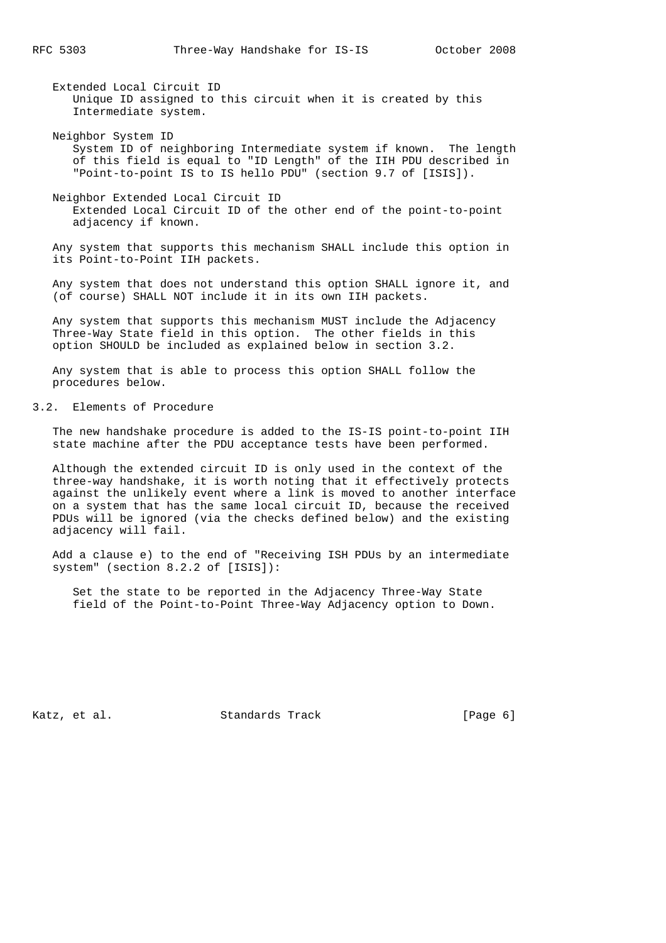Extended Local Circuit ID Unique ID assigned to this circuit when it is created by this Intermediate system.

- Neighbor System ID System ID of neighboring Intermediate system if known. The length of this field is equal to "ID Length" of the IIH PDU described in "Point-to-point IS to IS hello PDU" (section 9.7 of [ISIS]).
- Neighbor Extended Local Circuit ID Extended Local Circuit ID of the other end of the point-to-point adjacency if known.

 Any system that supports this mechanism SHALL include this option in its Point-to-Point IIH packets.

 Any system that does not understand this option SHALL ignore it, and (of course) SHALL NOT include it in its own IIH packets.

 Any system that supports this mechanism MUST include the Adjacency Three-Way State field in this option. The other fields in this option SHOULD be included as explained below in section 3.2.

 Any system that is able to process this option SHALL follow the procedures below.

# 3.2. Elements of Procedure

 The new handshake procedure is added to the IS-IS point-to-point IIH state machine after the PDU acceptance tests have been performed.

 Although the extended circuit ID is only used in the context of the three-way handshake, it is worth noting that it effectively protects against the unlikely event where a link is moved to another interface on a system that has the same local circuit ID, because the received PDUs will be ignored (via the checks defined below) and the existing adjacency will fail.

 Add a clause e) to the end of "Receiving ISH PDUs by an intermediate system" (section 8.2.2 of [ISIS]):

 Set the state to be reported in the Adjacency Three-Way State field of the Point-to-Point Three-Way Adjacency option to Down.

Katz, et al. Standards Track [Page 6]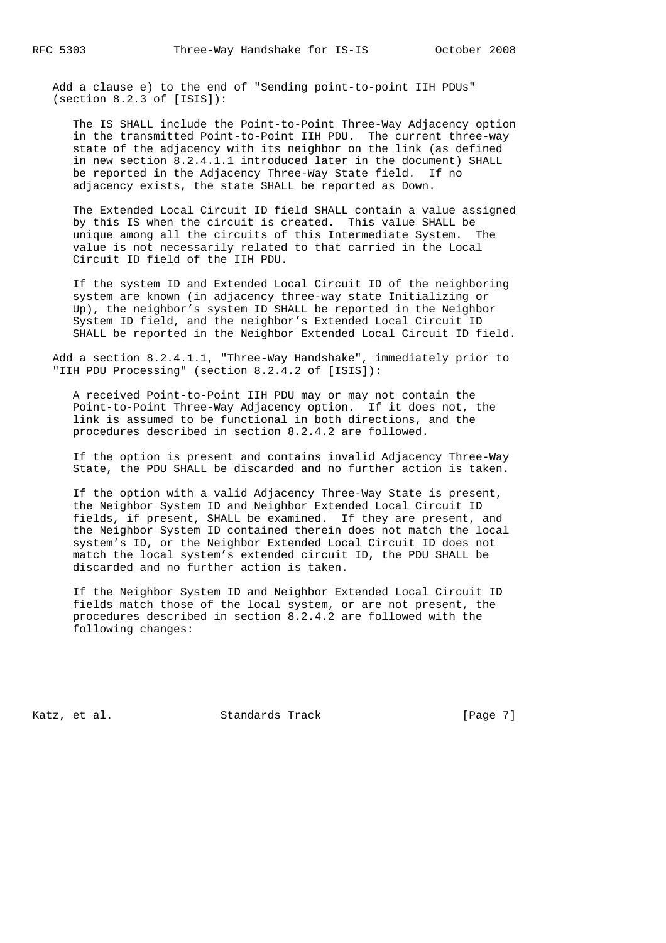Add a clause e) to the end of "Sending point-to-point IIH PDUs" (section 8.2.3 of [ISIS]):

 The IS SHALL include the Point-to-Point Three-Way Adjacency option in the transmitted Point-to-Point IIH PDU. The current three-way state of the adjacency with its neighbor on the link (as defined in new section 8.2.4.1.1 introduced later in the document) SHALL be reported in the Adjacency Three-Way State field. If no adjacency exists, the state SHALL be reported as Down.

 The Extended Local Circuit ID field SHALL contain a value assigned by this IS when the circuit is created. This value SHALL be unique among all the circuits of this Intermediate System. The value is not necessarily related to that carried in the Local Circuit ID field of the IIH PDU.

 If the system ID and Extended Local Circuit ID of the neighboring system are known (in adjacency three-way state Initializing or Up), the neighbor's system ID SHALL be reported in the Neighbor System ID field, and the neighbor's Extended Local Circuit ID SHALL be reported in the Neighbor Extended Local Circuit ID field.

 Add a section 8.2.4.1.1, "Three-Way Handshake", immediately prior to "IIH PDU Processing" (section 8.2.4.2 of [ISIS]):

 A received Point-to-Point IIH PDU may or may not contain the Point-to-Point Three-Way Adjacency option. If it does not, the link is assumed to be functional in both directions, and the procedures described in section 8.2.4.2 are followed.

 If the option is present and contains invalid Adjacency Three-Way State, the PDU SHALL be discarded and no further action is taken.

 If the option with a valid Adjacency Three-Way State is present, the Neighbor System ID and Neighbor Extended Local Circuit ID fields, if present, SHALL be examined. If they are present, and the Neighbor System ID contained therein does not match the local system's ID, or the Neighbor Extended Local Circuit ID does not match the local system's extended circuit ID, the PDU SHALL be discarded and no further action is taken.

 If the Neighbor System ID and Neighbor Extended Local Circuit ID fields match those of the local system, or are not present, the procedures described in section 8.2.4.2 are followed with the following changes:

Katz, et al. Standards Track [Page 7]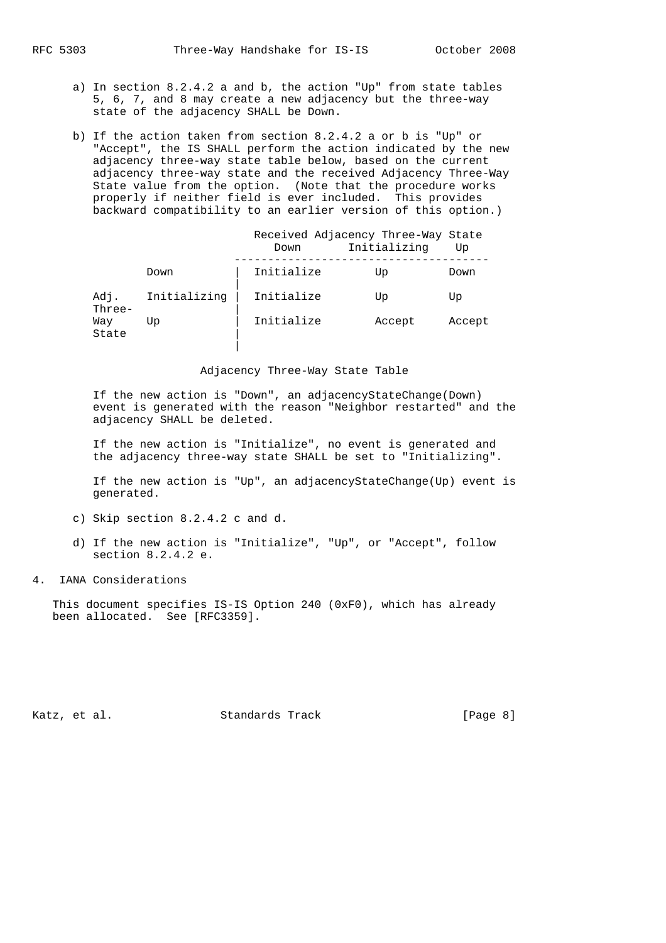- a) In section 8.2.4.2 a and b, the action "Up" from state tables 5, 6, 7, and 8 may create a new adjacency but the three-way state of the adjacency SHALL be Down.
- b) If the action taken from section 8.2.4.2 a or b is "Up" or "Accept", the IS SHALL perform the action indicated by the new adjacency three-way state table below, based on the current adjacency three-way state and the received Adjacency Three-Way State value from the option. (Note that the procedure works properly if neither field is ever included. This provides backward compatibility to an earlier version of this option.)

|              | Down       | Initializing | Up                                 |
|--------------|------------|--------------|------------------------------------|
| Down         | Initialize | Up           | Down                               |
| Initializing | Initialize | Up           | Up                                 |
| Up           | Initialize | Accept       | Accept                             |
|              |            |              | Received Adjacency Three-Way State |

#### Adjacency Three-Way State Table

 If the new action is "Down", an adjacencyStateChange(Down) event is generated with the reason "Neighbor restarted" and the adjacency SHALL be deleted.

 If the new action is "Initialize", no event is generated and the adjacency three-way state SHALL be set to "Initializing".

 If the new action is "Up", an adjacencyStateChange(Up) event is generated.

- c) Skip section 8.2.4.2 c and d.
- d) If the new action is "Initialize", "Up", or "Accept", follow section 8.2.4.2 e.
- 4. IANA Considerations

 This document specifies IS-IS Option 240 (0xF0), which has already been allocated. See [RFC3359].

Katz, et al. Standards Track [Page 8]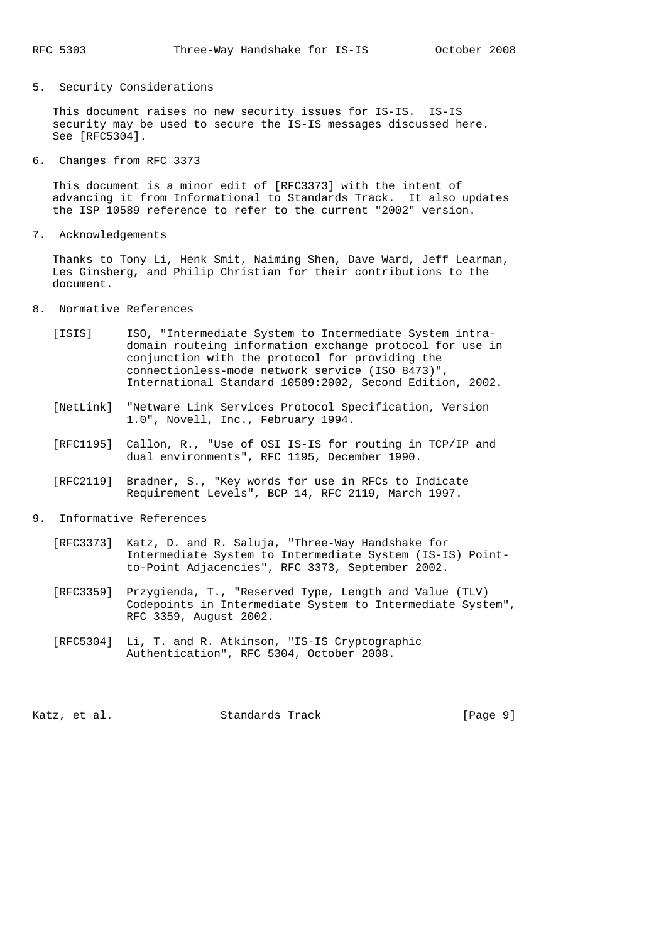## 5. Security Considerations

 This document raises no new security issues for IS-IS. IS-IS security may be used to secure the IS-IS messages discussed here. See [RFC5304].

6. Changes from RFC 3373

 This document is a minor edit of [RFC3373] with the intent of advancing it from Informational to Standards Track. It also updates the ISP 10589 reference to refer to the current "2002" version.

7. Acknowledgements

 Thanks to Tony Li, Henk Smit, Naiming Shen, Dave Ward, Jeff Learman, Les Ginsberg, and Philip Christian for their contributions to the document.

- 8. Normative References
	- [ISIS] ISO, "Intermediate System to Intermediate System intra domain routeing information exchange protocol for use in conjunction with the protocol for providing the connectionless-mode network service (ISO 8473)", International Standard 10589:2002, Second Edition, 2002.
	- [NetLink] "Netware Link Services Protocol Specification, Version 1.0", Novell, Inc., February 1994.
	- [RFC1195] Callon, R., "Use of OSI IS-IS for routing in TCP/IP and dual environments", RFC 1195, December 1990.
	- [RFC2119] Bradner, S., "Key words for use in RFCs to Indicate Requirement Levels", BCP 14, RFC 2119, March 1997.
- 9. Informative References
	- [RFC3373] Katz, D. and R. Saluja, "Three-Way Handshake for Intermediate System to Intermediate System (IS-IS) Point to-Point Adjacencies", RFC 3373, September 2002.
	- [RFC3359] Przygienda, T., "Reserved Type, Length and Value (TLV) Codepoints in Intermediate System to Intermediate System", RFC 3359, August 2002.
	- [RFC5304] Li, T. and R. Atkinson, "IS-IS Cryptographic Authentication", RFC 5304, October 2008.

Katz, et al. Standards Track [Page 9]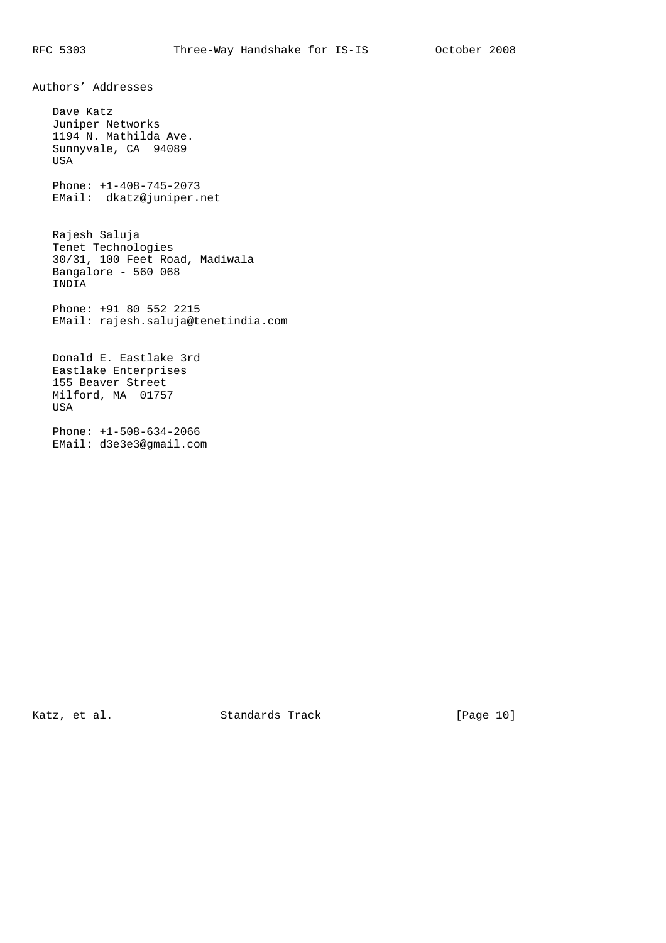Authors' Addresses

 Dave Katz Juniper Networks 1194 N. Mathilda Ave. Sunnyvale, CA 94089 USA Phone: +1-408-745-2073 EMail: dkatz@juniper.net

 Rajesh Saluja Tenet Technologies 30/31, 100 Feet Road, Madiwala Bangalore - 560 068 INDIA

 Phone: +91 80 552 2215 EMail: rajesh.saluja@tenetindia.com

 Donald E. Eastlake 3rd Eastlake Enterprises 155 Beaver Street Milford, MA 01757 USA

 Phone: +1-508-634-2066 EMail: d3e3e3@gmail.com

Katz, et al. Standards Track [Page 10]